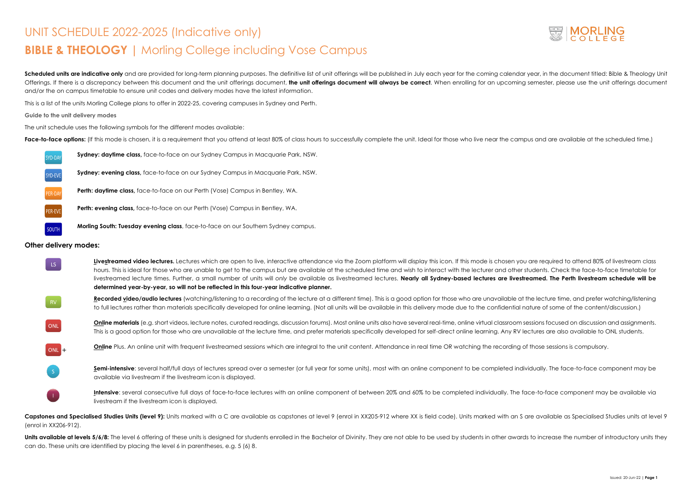# UNIT SCHEDULE 2022-2025 (Indicative only) **BIBLE & THEOLOGY |** Morling College including Vose Campus

Scheduled units are indicative only and are provided for long-term planning purposes. The definitive list of unit offerings will be published in July each year for the coming calendar year, in the document titled: Bible & Offerings. If there is a discrepancy between this document and the unit offerings document, the unit offerings document will always be correct. When enrolling for an upcoming semester, please use the unit offerings documen and/or the on campus timetable to ensure unit codes and delivery modes have the latest information.

This is a list of the units Morling College plans to offer in 2022-25, covering campuses in Sydney and Perth.

#### **Guide to the unit delivery modes**

The unit schedule uses the following symbols for the different modes available:

Face-to-face options: (If this mode is chosen, it is a requirement that you attend at least 80% of class hours to successfully complete the unit. Ideal for those who live near the campus and are available at the scheduled

**U** are required to attend 80% of livestream class students. Check the face-to-face timetable for livestreamed lecture times. Further, a small number of units will *only* be available as livestreamed lectures. **Nearly all Sydney-based lectures are livestreamed. The Perth livestream schedule will be** 

the lecture time, and prefer watching/listening<sup>.</sup> nature of some of the content/discussion.)

**Online materials** (e.g. short videos, lecture notes, curated readings, discussion forums). Most online units also have several real-time, online virtual classroom sessions focused on discussion and assignments. lectures are also available to ONL students.

of those sessions is compulsory.

ividually. The face-to-face component may be

<sup>i</sup>ace-to-face component may be available via

| SYD-DAY | <b>Sydney: daytime class, face-to-face on our Sydney Campus in Macquarie Park, NSW.</b> |
|---------|-----------------------------------------------------------------------------------------|
| SYD-EVE | <b>Sydney: evening class, face-to-face on our Sydney Campus in Macquarie Park, NSW.</b> |
| PER-DAY | <b>Perth: daytime class, face-to-face on our Perth (Vose) Campus in Bentley, WA.</b>    |
| PER-EVE | <b>Perth: evening class, face-to-face on our Perth (Vose) Campus in Bentley, WA.</b>    |
| SOUTH   | Morling South: Tuesday evening class, face-to-face on our Southern Sydney campus.       |

#### **Other delivery modes:**

Capstones and Specialised Studies Units (level 9): Units marked with a C are available as capstones at level 9 (enrol in XX205-912 where XX is field code). Units marked with an S are available as Specialised Studies units (enrol in XX206-912).

Units available at levels 5/6/8: The level 6 offering of these units is designed for students enrolled in the Bachelor of Divinity. They are not able to be used by students in other awards to increase the number of introdu can do. These units are identified by placing the level 6 in parentheses, e.g. 5 (6) 8.



| LS.       | Livestreamed video lectures. Lectures which are open to live, interactive attendance via the Zoom platform will display this icon. If this mode is chosen you<br>hours. This is ideal for those who are unable to get to the campus but are available at the scheduled time and wish to interact with the lecturer and other a<br>livestreamed lecture times. Further, a small number of units will only be available as livestreamed lectures. Nearly all Sydney-based lectures are livestr<br>determined year-by-year, so will not be reflected in this four-year indicative planner. |
|-----------|-----------------------------------------------------------------------------------------------------------------------------------------------------------------------------------------------------------------------------------------------------------------------------------------------------------------------------------------------------------------------------------------------------------------------------------------------------------------------------------------------------------------------------------------------------------------------------------------|
| <b>RV</b> | Recorded video/audio lectures (watching/listening to a recording of the lecture at a different time). This is a good option for those who are unavailable at<br>to full lectures rather than materials specifically developed for online learning. (Not all units will be available in this delivery mode due to the confidential r                                                                                                                                                                                                                                                     |
| ONL       | <b>Online materials</b> (e.g. short videos, lecture notes, curated readings, discussion forums). Most online units also have several real-time, online virtual classroom s<br>This is a good option for those who are unavailable at the lecture time, and prefer materials specifically developed for self-direct online learning. Any RV k                                                                                                                                                                                                                                            |
| $ONL +$   | <b>Online</b> Plus. An online unit with frequent livestreamed sessions which are integral to the unit content. Attendance in real time OR watching the recording or                                                                                                                                                                                                                                                                                                                                                                                                                     |
|           | Semi-intensive: several half/full days of lectures spread over a semester (or full year for some units), most with an online component to be completed indi<br>available via livestream if the livestream icon is displayed.                                                                                                                                                                                                                                                                                                                                                            |
|           | Intensive: several consecutive full days of face-to-face lectures with an online component of between 20% and 60% to be completed individually. The forestion-<br>livestream if the livestream icon is displayed.                                                                                                                                                                                                                                                                                                                                                                       |
|           |                                                                                                                                                                                                                                                                                                                                                                                                                                                                                                                                                                                         |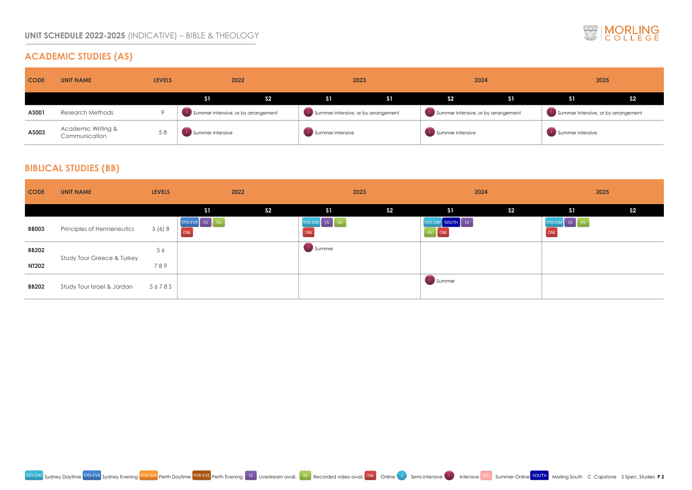# **ACADEMIC STUDIES (AS)**





| <b>CODE</b> | <b>UNIT NAME</b>                               | <b>LEVELS</b> | 2022                                |                | 2023                                |    | 2024                                |                | 2025                                |  |
|-------------|------------------------------------------------|---------------|-------------------------------------|----------------|-------------------------------------|----|-------------------------------------|----------------|-------------------------------------|--|
|             |                                                |               | S <sub>1</sub>                      | S <sub>2</sub> | S <sub>1</sub>                      | S1 | S <sub>2</sub>                      | S <sub>1</sub> | $\overline{\text{S1}}$              |  |
| AS001       | <b>Research Methods</b>                        |               | Summer intensive, or by arrangement |                | Summer intensive, or by arrangement |    | Summer intensive, or by arrangement |                | Summer intensive, or by arrangement |  |
| AS003       | <b>Academic Writing &amp;</b><br>Communication | 58            | Summer intensive                    |                | Summer intensive                    |    | Summer intensive                    |                | Summer intensive                    |  |

### **BIBLICAL STUDIES (BB)**

| <b>CODE</b>  | <b>UNIT NAME</b>           | <b>LEVELS</b> |                      | 2022           | 2023                 |                | 2024                                                       |                | 2025                 |                |
|--------------|----------------------------|---------------|----------------------|----------------|----------------------|----------------|------------------------------------------------------------|----------------|----------------------|----------------|
|              |                            |               | S <sub>1</sub>       | S <sub>2</sub> | S1                   | S <sub>2</sub> | S1                                                         | S <sub>2</sub> | S <sub>1</sub>       | S <sub>2</sub> |
| <b>BB003</b> | Principles of Hermeneutics | 5 (6) 8       | SYD-EVE LS RV<br>ONL |                | SYD-DAY LS RV<br>ONL |                | SYD-DAY SOUTH LS<br>$\begin{bmatrix} RV \end{bmatrix}$ ONL |                | SYD-DAY LS RV<br>ONL |                |
| <b>BB202</b> | Study Tour Greece & Turkey | 56            |                      |                | Summer               |                |                                                            |                |                      |                |
| <b>NT202</b> |                            | 789           |                      |                |                      |                |                                                            |                |                      |                |
| <b>BB202</b> | Study Tour Israel & Jordan | 56785         |                      |                |                      |                | Summer                                                     |                |                      |                |

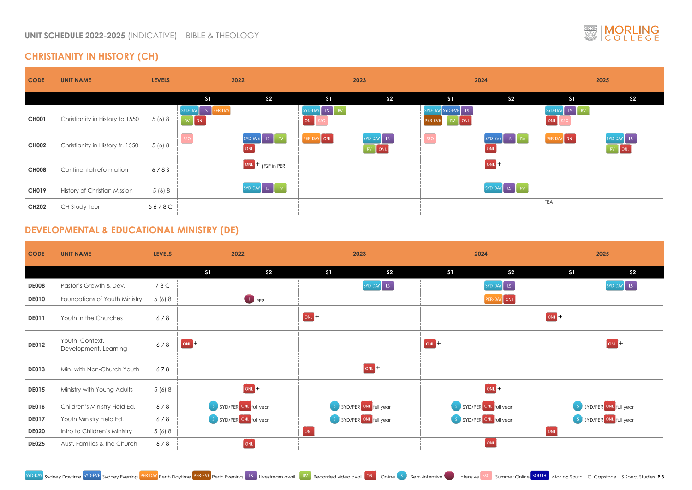### **CHRISTIANITY IN HISTORY (CH)**



|                      |                                                                         | 2025                                                  |
|----------------------|-------------------------------------------------------------------------|-------------------------------------------------------|
|                      | S <sub>1</sub>                                                          | S <sub>2</sub>                                        |
|                      | SYD-DAY<br>RV <sub>1</sub><br>$\overline{\phantom{a}}$ LS<br>SSO<br>ONL |                                                       |
| V.                   | ONL<br>PER-DAY                                                          | SYD-DAY<br>$\overline{\text{LS}}$<br>ONL<br><b>RV</b> |
|                      |                                                                         |                                                       |
| $\frac{1}{\sqrt{2}}$ |                                                                         |                                                       |
|                      | <b>TBA</b>                                                              |                                                       |

| 2025                    |                                   |
|-------------------------|-----------------------------------|
| S <sub>1</sub>          | S <sub>2</sub>                    |
|                         | SYD-DAY<br>$\overline{\text{LS}}$ |
|                         |                                   |
| ONL <sub>+</sub>        |                                   |
|                         | $ONL +$                           |
|                         |                                   |
|                         |                                   |
| $\mathsf S$             | SYD/PER ONL full year             |
| $\overline{\mathsf{S}}$ | SYD/PER ONL full year             |
| ONL                     |                                   |
|                         |                                   |



### **DEVELOPMENTAL & EDUCATIONAL MINISTRY (DE)**

| <b>CODE</b>  | <b>UNIT NAME</b>                         | <b>LEVELS</b> | 2022                             | 2023                             | 2024                             | 2025                             |  |
|--------------|------------------------------------------|---------------|----------------------------------|----------------------------------|----------------------------------|----------------------------------|--|
|              |                                          |               | S <sub>1</sub><br>S <sub>2</sub> | S <sub>1</sub><br>S <sub>2</sub> | S <sub>1</sub><br>S <sub>2</sub> | S <sub>1</sub><br>S <sub>2</sub> |  |
| <b>DE008</b> | Pastor's Growth & Dev.                   | 78C           |                                  | $SYD-DAY$ LS                     | SYD-DAY LS                       | SYD-DAY LS                       |  |
| <b>DE010</b> | Foundations of Youth Ministry            | 5(6)8         | <b>D</b> PER                     |                                  | PER-DAY ONL                      |                                  |  |
| <b>DE011</b> | Youth in the Churches                    | 678           |                                  | $[ONL] +$                        |                                  | $OM+$                            |  |
| <b>DE012</b> | Youth: Context,<br>Development, Learning | 678           | $ONL +$                          |                                  | $ONL +$                          | $ONL +$                          |  |
| <b>DE013</b> | Min. with Non-Church Youth               | 678           |                                  | $ONL +$                          |                                  |                                  |  |
| <b>DE015</b> | Ministry with Young Adults               | 5(6)8         | $[ONL] +$                        |                                  | $ONL +$                          |                                  |  |
| <b>DE016</b> | Children's Ministry Field Ed.            | 678           | S SYD/PER ONL full year          | S SYD/PER ONL full year          | S SYD/PER ONL full year          | S SYD/PER ONL full year          |  |
| <b>DE017</b> | Youth Ministry Field Ed.                 | 678           | S SYD/PER ONL full year          | S SYD/PER ONL full year          | S SYD/PER ONL full year          | S SYD/PER ONL full year          |  |
| <b>DE020</b> | Intro to Children's Ministry             | 5(6)8         |                                  | [ONL]                            |                                  | ONL                              |  |
| <b>DE025</b> | Aust. Families & the Church              | 678           | ONL                              |                                  | ONL                              |                                  |  |

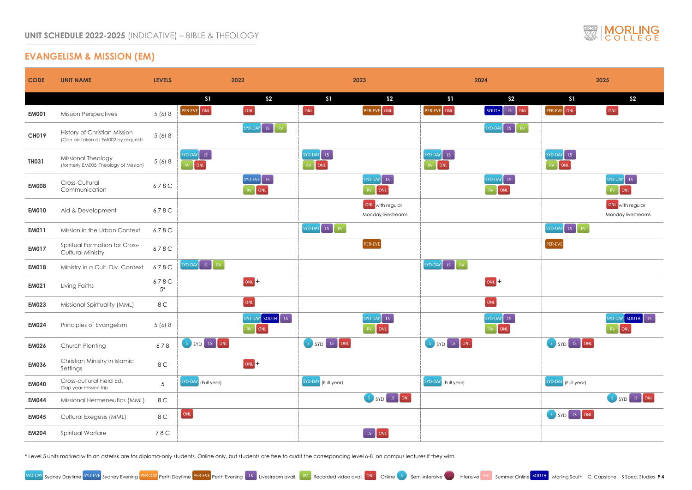# **EVANGELISM & MISSION (EM)**

|     |                                                                                | 2025                                                           |
|-----|--------------------------------------------------------------------------------|----------------------------------------------------------------|
|     |                                                                                |                                                                |
|     | <b>S1</b>                                                                      | S <sub>2</sub>                                                 |
| ONL | PER-EVE ONL                                                                    | ONL                                                            |
| RV  |                                                                                |                                                                |
|     |                                                                                |                                                                |
|     | SYD-DAY<br>$\mathsf{LS}\xspace$                                                |                                                                |
|     | ONL<br>RV                                                                      |                                                                |
|     |                                                                                | SYD-DAY<br>LS                                                  |
|     |                                                                                | ONL<br>RV                                                      |
|     |                                                                                | ONL with regular                                               |
|     |                                                                                | Monday livestreams                                             |
|     | SYD-DAY<br>$\bar{\rm RV}$<br>LS.                                               |                                                                |
|     | PER-EVE                                                                        |                                                                |
|     |                                                                                |                                                                |
|     |                                                                                |                                                                |
|     |                                                                                |                                                                |
|     |                                                                                |                                                                |
|     |                                                                                | SYD-DAY SOUTH<br>LS.<br>ONL<br><b>RV</b>                       |
|     | SYD LS ONL<br>$S_{\alpha}$                                                     |                                                                |
|     |                                                                                |                                                                |
|     | SYD-DAY (Full year)                                                            |                                                                |
|     |                                                                                | SYD <sup>LS</sup><br>$\overline{\text{ONL}}$<br>$\mathsf{S}^+$ |
|     | $SYD$ $IS$<br>$\overline{\text{ONL}}$<br>$\mathsf{S}^{\scriptscriptstyle\top}$ |                                                                |
|     |                                                                                |                                                                |
|     |                                                                                |                                                                |



| <b>CODE</b>  | <b>UNIT NAME</b>                                                   | <b>LEVELS</b>  | 2022                                                                   | 2023                                   | 2024                                               | 2025                                |
|--------------|--------------------------------------------------------------------|----------------|------------------------------------------------------------------------|----------------------------------------|----------------------------------------------------|-------------------------------------|
|              |                                                                    |                | S <sub>2</sub><br>S <sub>1</sub>                                       | S <sub>1</sub><br>S <sub>2</sub>       | S <sub>2</sub><br>S <sub>1</sub>                   | S <sub>1</sub><br>S <sub>2</sub>    |
| <b>EM001</b> | <b>Mission Perspectives</b>                                        | 5(6)8          | $\boxed{ONL}$<br>PER-EVE ONL                                           | ONL<br>PER-EVE ONL                     | PER-EVE ONL<br>SOUTH<br>$\  \mathsf{LS} \ $<br>ONL | $\boxed{\text{ONL}}$<br>PER-EVE ONL |
| <b>CH019</b> | History of Christian Mission<br>(Can be taken as EM002 by request) | 5(6)8          | $\begin{bmatrix} \text{SYD-DAY} & \text{LS} & \text{RV} \end{bmatrix}$ |                                        | SYD-DAY LS RV                                      |                                     |
| <b>TH031</b> | Missional Theology<br>(formerly EM005: Theology of Mission)        | 5(6)8          | $SYD-DAY$ LS<br>$RV$ ONL                                               | $SYD-DAY$ $LS$<br>RV ONL               | SYD-DAY LS<br>$RV$ ONL                             | SYD-DAY LS<br>RV ONL                |
| <b>EM008</b> | Cross-Cultural<br>Communication                                    | 678C           | SYD-EVE LS<br>RV ONL                                                   | SYD-DAY LS<br>RV ONL                   | SYD-DAY LS<br>RV ONL                               | $SYD-DAY$ LS<br>$RV$ ONL            |
| <b>EM010</b> | Aid & Development                                                  | 678C           |                                                                        | ONL with regular<br>Monday livestreams |                                                    | ONL with reg<br>Monday lives        |
| <b>EM011</b> | Mission in the Urban Context                                       | 678C           |                                                                        | $SYD-DAY$ LS<br>RV                     |                                                    | $SYD-DAY$ LS<br>$\mathsf{RV}$       |
| <b>EM017</b> | Spiritual Formation for Cross-<br><b>Cultural Ministry</b>         | 678C           |                                                                        | PER-EVE                                |                                                    | PER-EVE                             |
| <b>EM018</b> | Ministry in a Cult. Div. Context                                   | 678C           | $SVD-DAY$ LS $RV$                                                      |                                        | SYD-DAY LS RV                                      |                                     |
| <b>EM021</b> | Living Faiths                                                      | 678C<br>$5*$   | $OML +$                                                                |                                        | $OML +$                                            |                                     |
| <b>EM023</b> | Missional Spirituality (MML)                                       | 8 C            | ONL                                                                    |                                        | ONL                                                |                                     |
| <b>EM024</b> | Principles of Evangelism                                           | 5(6)8          | SYD-DAY SOUTH ES<br>RV ONL                                             | $SYD-DAY$ LS<br>RV ONL                 | $SVD-DAY$ LS<br>RV ONL                             | SYD-DAY SOU<br>RV ONL               |
| <b>EM026</b> | Church Planting                                                    | 678            | S SYD LS ONL                                                           | S SYD LS ONL                           | S SYD LS ONL                                       | S SYD LS ONL                        |
| <b>EM036</b> | Christian Ministry in Islamic<br>Settings                          | 8 C            | $(ONL) +$                                                              |                                        |                                                    |                                     |
| <b>EM040</b> | Cross-cultural Field Ed.<br>Gap year mission trip                  | 5 <sup>5</sup> | SYD-DAY (Full year)                                                    | SYD-DAY (Full year)                    | SYD-DAY (Full year)                                | SYD-DAY (Full year)                 |
| <b>EM044</b> | Missional Hermeneutics (MML)                                       | 8 C            |                                                                        | S SYD LS ONL                           |                                                    | SSYDL                               |
| <b>EM045</b> | Cultural Exegesis (MML)                                            | 8 C            | ONL                                                                    |                                        |                                                    | S SYD LS ONL                        |
| <b>EM204</b> | Spiritual Warfare                                                  | 78C            |                                                                        | LS ONL                                 |                                                    |                                     |

\* Level 5 units marked with an asterisk are for diploma-only students. Online only, but students are free to audit the corresponding level 6-8 on campus lectures if they wish.

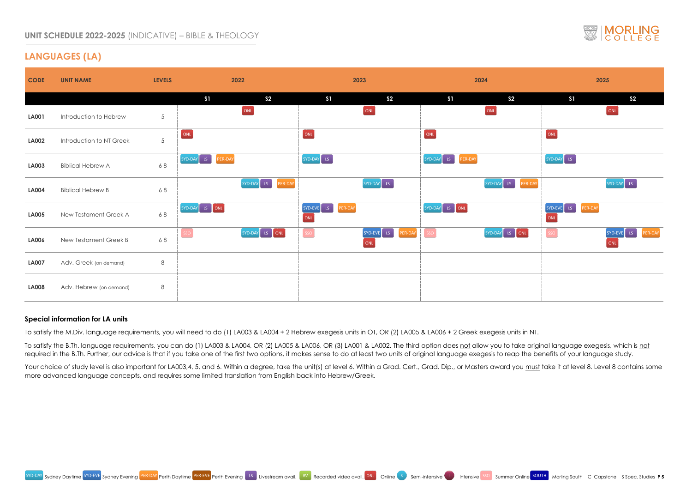### **UNIT SCHEDULE 2022-2025** (INDICATIVE) – BIBLE & THEOLOGY

### **LANGUAGES (LA)**

| <b>CODE</b>            | <b>UNIT NAME</b>         | <b>LEVELS</b>   | 2022               |                       |                              | 2023                           |                       | 2024               |                                  | 2025              |
|------------------------|--------------------------|-----------------|--------------------|-----------------------|------------------------------|--------------------------------|-----------------------|--------------------|----------------------------------|-------------------|
|                        |                          |                 | S1                 | S <sub>2</sub>        | S1                           | S <sub>2</sub>                 | S <sub>1</sub>        | S <sub>2</sub>     | S1                               | S <sub>2</sub>    |
| <b>LA001</b>           | Introduction to Hebrew   | $5\overline{)}$ |                    | ONL                   |                              | $\boxed{\text{ONL}}$           |                       | ONL                |                                  | ONL               |
| <b>LA002</b>           | Introduction to NT Greek | 5 <sup>5</sup>  | ONL                |                       | ONL                          |                                | ONL                   |                    | ONL                              |                   |
| <b>LA003</b>           | <b>Biblical Hebrew A</b> | 68              | SYD-DAY LS PER-DAY |                       | $SYD-DAY$ LS                 |                                | SYD-DAY LS<br>PER-DAY |                    | SYD-DAY LS                       |                   |
| <b>LA004</b>           | <b>Biblical Hebrew B</b> | 68              |                    | SYD-DAY LS<br>PER-DAY |                              | SYD-DAY LS                     |                       | SYD-DAY LS PER-DAY |                                  | SYD-DAY LS        |
| <b>LA005</b>           | New Testament Greek A    | 68              | SYD-DAY LS ONL     |                       | SYD-EVE LS<br>PER-DAY<br>ONL |                                | SYD-DAY LS ONL        |                    | $SVD-EVE$ $LS$<br>PER-DAY<br>ONL |                   |
| <b>LA006</b>           | New Testament Greek B    | 68              | SSO                | SYD-DAY LS ONL        | SSO                          | SYD-EVE LS<br>PER-DAY<br>[ONL] | SSO                   | SYD-DAY LS ONL     | $\lceil$ sso $\rceil$            | SYD-EVE LS<br>ONL |
| <b>LA007</b>           | Adv. Greek (on demand)   | 8               |                    |                       |                              |                                |                       |                    |                                  |                   |
| <b>LA008</b><br>$\sim$ | Adv. Hebrew (on demand)  | 8               |                    |                       |                              |                                |                       |                    |                                  |                   |

#### **Special information for LA units**

To satisfy the M.Div. language requirements, you will need to do (1) LA003 & LA004 + 2 Hebrew exegesis units in OT, OR (2) LA005 & LA006 + 2 Greek exegesis units in NT.

To satisfy the B.Th. language requirements, you can do (1) LA003 & LA004, OR (2) LA005 & LA006, OR (3) LA001 & LA002. The third option does not allow you to take original language exegesis, which is not required in the B.Th. Further, our advice is that if you take one of the first two options, it makes sense to do at least two units of original language exegesis to reap the benefits of your language study.

Your choice of study level is also important for LA003,4, 5, and 6. Within a degree, take the unit(s) at level 6. Within a Grad. Cert., Grad. Dip., or Masters award you must take it at level 8. Level 8 contains some more advanced language concepts, and requires some limited translation from English back into Hebrew/Greek.



|        |                                     | 2025    |                                          |         |
|--------|-------------------------------------|---------|------------------------------------------|---------|
|        | S <sub>1</sub>                      |         | S <sub>2</sub>                           |         |
|        |                                     |         | ONL                                      |         |
|        | ONL                                 |         |                                          |         |
|        | SYD-DAY<br>$\overline{\mathsf{LS}}$ |         |                                          |         |
| ER-DAY |                                     |         | SYD-DAY<br>$\overline{\text{LS}}$        |         |
|        | SYD-EVE<br>LS<br>ONL                | PER-DAY |                                          |         |
| IL.    | SSO                                 |         | SYD-EVE<br>$\overline{\text{LS}}$<br>ONL | PER-DAY |
|        |                                     |         |                                          |         |
|        |                                     |         |                                          |         |
|        |                                     |         |                                          |         |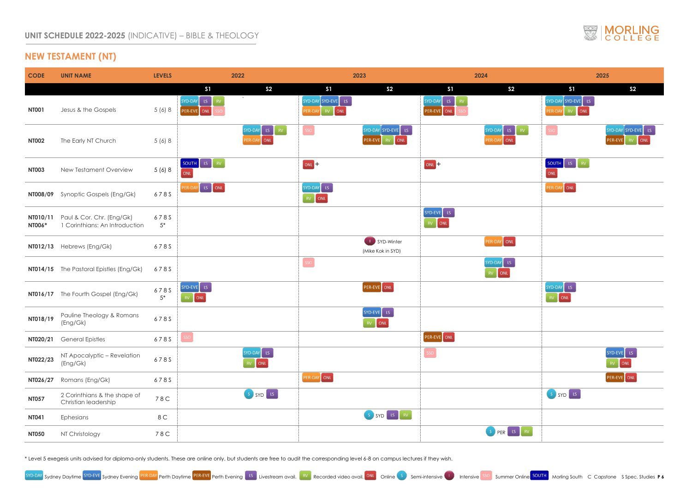### **NEW TESTAMENT (NT)**

| <b>CODE</b>   | <b>UNIT NAME</b>                                                      | <b>LEVELS</b> | 2022                                                                                                                                                                                                                                                                                                                                    | 2023                                                 | 2024                                                               | 2025                                                                                    |
|---------------|-----------------------------------------------------------------------|---------------|-----------------------------------------------------------------------------------------------------------------------------------------------------------------------------------------------------------------------------------------------------------------------------------------------------------------------------------------|------------------------------------------------------|--------------------------------------------------------------------|-----------------------------------------------------------------------------------------|
|               |                                                                       |               | S <sub>2</sub><br>S <sub>1</sub>                                                                                                                                                                                                                                                                                                        | S <sub>2</sub><br>S <sub>1</sub>                     | S <sub>2</sub><br>S <sub>1</sub>                                   | S <sub>1</sub><br>S <sub>2</sub>                                                        |
| <b>NT001</b>  | Jesus & the Gospels                                                   | 5(6)8         | $\Delta$<br>SYD-DAY<br>$\mathsf{LS}_{\mathbb{C}}$<br>PER-EVE ONL                                                                                                                                                                                                                                                                        | SYD-DAY SYD-EVE LS<br>PER-DAY RV ONL                 | SYD-DAY<br>$\langle \text{LS} \rangle$<br><b>RV</b><br>PER-EVE ONL | SYD-DAY SYD-EVE LS<br>PER-DAY RV ONL                                                    |
| <b>NT002</b>  | The Early NT Church                                                   | 5(6)8         | SYD-DAY LS RV<br>PER-DAY ONL                                                                                                                                                                                                                                                                                                            | SSO<br>$SYD-DAY$ SYD-EVE ES<br>RV ONL<br>PER-EVE     | $SYD-DAY$ LS<br>$\vert$ RV<br>PER-DAY ONL                          | $\begin{bmatrix} \text{SYD-DAY} \end{bmatrix}$ SYD-I<br>$[$ SSO $]$<br>PER-EVE RV       |
| <b>NT003</b>  | New Testament Overview                                                | 5 (6) 8       | $\begin{bmatrix} 1 & 0 & 0 \\ 0 & 0 & 0 \\ 0 & 0 & 0 \\ 0 & 0 & 0 \\ 0 & 0 & 0 \\ 0 & 0 & 0 \\ 0 & 0 & 0 \\ 0 & 0 & 0 \\ 0 & 0 & 0 \\ 0 & 0 & 0 & 0 \\ 0 & 0 & 0 & 0 \\ 0 & 0 & 0 & 0 \\ 0 & 0 & 0 & 0 \\ 0 & 0 & 0 & 0 & 0 \\ 0 & 0 & 0 & 0 & 0 \\ 0 & 0 & 0 & 0 & 0 \\ 0 & 0 & 0 & 0 & 0 & 0 \\ 0 & 0 & 0 & 0 & 0 & 0 \\ 0 & $<br>ONL | $(ONL) +$                                            | $(ONL) +$                                                          | $\begin{bmatrix}$ SOUTH $\end{bmatrix}$ LS $\begin{bmatrix} \end{bmatrix}$<br>RV<br>ONL |
|               | NT008/09 Synoptic Gospels (Eng/Gk)                                    | 678S          | PER-DAY LS ONL                                                                                                                                                                                                                                                                                                                          | SYD-DAY LS<br>$\begin{bmatrix} RV \end{bmatrix}$ ONL |                                                                    | PER-DAY ONL                                                                             |
| <b>NT006*</b> | NT010/11  Paul & Cor. Chr. (Eng/Gk)<br>1 Corinthians: An Introduction | 678S<br>$5*$  |                                                                                                                                                                                                                                                                                                                                         |                                                      | $SVD-EVE$ LS<br>RV ONL                                             |                                                                                         |
|               | NT012/13 Hebrews (Eng/Gk)                                             | 678S          |                                                                                                                                                                                                                                                                                                                                         | SYD-Winter<br>(Mike Kok in SYD)                      | PER-DAY ONL                                                        |                                                                                         |
|               | NT014/15 The Pastoral Epistles (Eng/Gk)                               | 678S          |                                                                                                                                                                                                                                                                                                                                         | SSO                                                  | $SYD-DAY$ $LS$<br>RV ONL                                           |                                                                                         |
|               | NT016/17 The Fourth Gospel (Eng/Gk)                                   | 678S<br>$5*$  | SYD-EVE ES<br>RV ONL                                                                                                                                                                                                                                                                                                                    | PER-EVE ONL                                          |                                                                    | SYD-DAY LS<br>RV ONL                                                                    |
| NT018/19      | Pauline Theology & Romans<br>(Eng/Gk)                                 | 678S          |                                                                                                                                                                                                                                                                                                                                         | SYD-EVE LS<br>ONL                                    |                                                                    |                                                                                         |
| NT020/21      | <b>General Epistles</b>                                               | 6785          | SSO                                                                                                                                                                                                                                                                                                                                     |                                                      | PER-EVE ONL                                                        |                                                                                         |
| NT022/23      | NT Apocalyptic - Revelation<br>(Eng/Gk)                               | 6785          | SYD-DAY LS<br>$RV$ ONL                                                                                                                                                                                                                                                                                                                  |                                                      | $\begin{bmatrix} \text{SSO} \end{bmatrix}$                         | $SVD-EVE$ LS<br>$RV$ ONL                                                                |
| NT026/27      | Romans (Eng/Gk)                                                       | 678S          |                                                                                                                                                                                                                                                                                                                                         | PER-DAY ONL                                          |                                                                    | PER-EVE ONL                                                                             |
| <b>NT057</b>  | 2 Corinthians & the shape of<br>Christian leadership                  | 78C           | SSYD                                                                                                                                                                                                                                                                                                                                    |                                                      |                                                                    | S SYD LS                                                                                |
| <b>NT041</b>  | Ephesians                                                             | 8 C           |                                                                                                                                                                                                                                                                                                                                         | S SYD LS RV                                          |                                                                    |                                                                                         |
| <b>NT050</b>  | NT Christology                                                        | 78C           |                                                                                                                                                                                                                                                                                                                                         |                                                      | S PER LS RV                                                        |                                                                                         |

\* Level 5 exegesis units advised for diploma-only students. These are online only, but students are free to audit the corresponding level 6-8 on campus lectures if they wish.





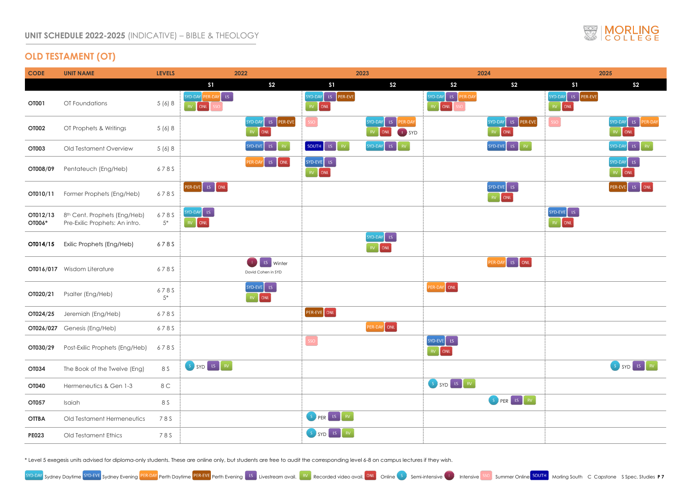# **OLD TESTAMENT (OT)**

| <b>CODE</b>        | <b>UNIT NAME</b>                                                           | <b>LEVELS</b> | 2022                                       |                                                            |                              | 2023                                                        |                           | 2024                         |                              | 2025                 |
|--------------------|----------------------------------------------------------------------------|---------------|--------------------------------------------|------------------------------------------------------------|------------------------------|-------------------------------------------------------------|---------------------------|------------------------------|------------------------------|----------------------|
|                    |                                                                            |               | S <sub>1</sub>                             | S <sub>2</sub>                                             | S <sub>1</sub>               | S <sub>2</sub>                                              | S <sub>2</sub>            | S <sub>2</sub>               | S <sub>1</sub>               | S <sub>2</sub>       |
| <b>OT001</b>       | OT Foundations                                                             | 5 (6) 8       | SYD-DAY PER-DAY ES<br>RV ONL<br>$\sf{SSO}$ |                                                            | SYD-DAY LS PER-EVE<br>RV ONL |                                                             | SYD-DAY LS PER-DAY<br>ONL |                              | SYD-DAY LS PER-EVE<br>RV ONL |                      |
| <b>OT002</b>       | OT Prophets & Writings                                                     | 5(6)8         |                                            | SYD-DAY LS PER-EVE<br>RV ONL                               | SSO                          | SYD-DAY LS<br>PER-DAY<br>ONL<br>U SYD                       |                           | SYD-DAY LS PER-EVE<br>RV ONL | $\sf{SSO}$                   | SYD-DAY LS<br>RV ONL |
| <b>OT003</b>       | Old Testament Overview                                                     | 5(6)8         |                                            | $SVD-EVE$ $LS$<br>RV                                       | SOUTH LS RV                  | SYD-DAY LS<br>$\langle \langle \mathsf{RV} \rangle \rangle$ |                           | SYD-EVE LS RV                |                              | SYD-DAY LS           |
| OT008/09           | Pentateuch (Eng/Heb)                                                       | 678S          |                                            | PER-DAY LS ONL                                             | SYD-EVE LS<br>RV ONL         |                                                             |                           |                              |                              | SYD-DAY LS<br>RV ONL |
| OT010/11           | Former Prophets (Eng/Heb)                                                  | 678S          | PER-EVE LS ONL                             |                                                            |                              |                                                             |                           | SYD-EVE LS<br>RV ONL         |                              | PER-EVE LS           |
| OT012/13<br>OT006* | 8 <sup>th</sup> Cent. Prophets (Eng/Heb)<br>Pre-Exilic Prophets: An intro. | 678S<br>$5*$  | SYD-DAY LS<br>RV ONL                       |                                                            |                              |                                                             |                           |                              | SYD-EVE LS<br>RV ONL         |                      |
| OT014/15           | Exilic Prophets (Eng/Heb)                                                  | 678S          |                                            |                                                            |                              | SYD-DAY LS<br>RV ONL                                        |                           |                              |                              |                      |
|                    | <b>OT016/017</b> Wisdom Literature                                         | 678S          |                                            | LS Winter<br>$\mathbf{T}_\mathrm{c}$<br>David Cohen in SYD |                              |                                                             |                           | PER-DAY LS ONL               |                              |                      |
| OT020/21           | Psalter (Eng/Heb)                                                          | 678S<br>$5*$  |                                            | SYD-EVE LS<br>RV ONL                                       |                              |                                                             | PER-DAY ONL               |                              |                              |                      |
| OT024/25           | Jeremiah (Eng/Heb)                                                         | 678S          |                                            |                                                            | PER-EVE ONL                  |                                                             |                           |                              |                              |                      |
|                    | <b>OT026/027</b> Genesis (Eng/Heb)                                         | 678S          |                                            |                                                            |                              | PER-DAY ONL                                                 |                           |                              |                              |                      |
| OT030/29           | Post-Exilic Prophets (Eng/Heb)                                             | 678S          |                                            |                                                            | SSO                          |                                                             | $SVD-EVE$ $LS$<br>RV ONL  |                              |                              |                      |
| <b>OT034</b>       | The Book of the Twelve (Eng)                                               | 8 S           | S SYD LS RV                                |                                                            |                              |                                                             |                           |                              |                              | SSYD                 |
| <b>OT040</b>       | Hermeneutics & Gen 1-3                                                     | 8 C           |                                            |                                                            |                              |                                                             | S SYD LS RV               |                              |                              |                      |
| OT057              | Isaiah                                                                     | 8 S           |                                            |                                                            |                              |                                                             |                           | S PER LS RV                  |                              |                      |
| <b>OTTBA</b>       | Old Testament Hermeneutics                                                 | 78S           |                                            |                                                            | S PER LS RV                  |                                                             |                           |                              |                              |                      |
| <b>PE023</b>       | Old Testament Ethics                                                       | 78S           |                                            |                                                            | S SYD LS RV                  |                                                             |                           |                              |                              |                      |

\* Level 5 exegesis units advised for diploma-only students. These are online only, but students are free to audit the corresponding level 6-8 on campus lectures if they wish.



|                         |                                        | 2025       |                                      |                             |
|-------------------------|----------------------------------------|------------|--------------------------------------|-----------------------------|
|                         | \$1                                    |            | S <sub>2</sub>                       |                             |
|                         | SYD-DAY<br>$RV^{\pm}$<br>ONL           | LS PER-EVE |                                      |                             |
| PER-EVE                 | SSO                                    |            | SYD-DAY LS<br>ONL<br>RV <sub>1</sub> | PER-DAY                     |
| RV                      |                                        |            | SYD-DAY<br>$\overline{\mathsf{LS}}$  | $\mathsf{RV}$               |
|                         |                                        |            | SYD-DAY LS<br>RV <sub>1</sub><br>ONL |                             |
|                         |                                        |            | PER-EVE LS ONL                       |                             |
|                         | $SVD-EVE$ LS<br>ONL<br>RV <sub>1</sub> |            |                                      |                             |
|                         |                                        |            |                                      |                             |
| $\overline{\text{ONL}}$ |                                        |            |                                      |                             |
|                         |                                        |            |                                      |                             |
|                         |                                        |            |                                      |                             |
|                         |                                        |            |                                      |                             |
|                         |                                        |            |                                      |                             |
|                         |                                        |            | S SYD [ LS ]                         | $\langle \text{RV} \rangle$ |
|                         |                                        |            |                                      |                             |
| RV                      |                                        |            |                                      |                             |
|                         |                                        |            |                                      |                             |
|                         |                                        |            |                                      |                             |

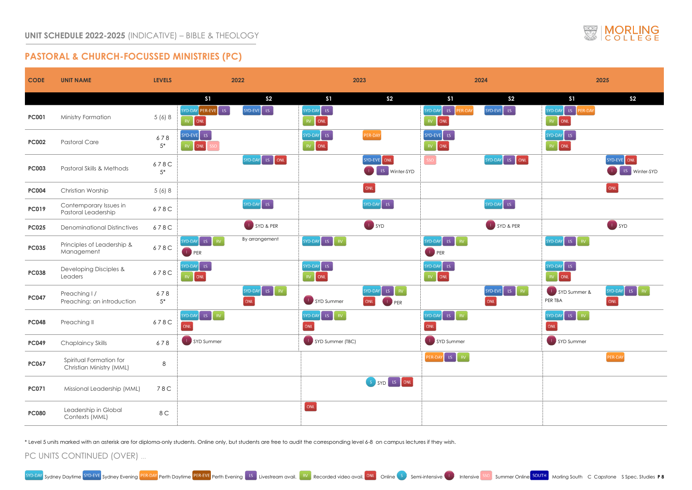### **PASTORAL & CHURCH-FOCUSSED MINISTRIES (PC)**

| <b>CODE</b>  | <b>UNIT NAME</b>                                    | <b>LEVELS</b>   |                                                         | 2022                 |                                                      | 2023                                                   |                                                                   | 2024                                                                   |                                                                     | 2025                         |
|--------------|-----------------------------------------------------|-----------------|---------------------------------------------------------|----------------------|------------------------------------------------------|--------------------------------------------------------|-------------------------------------------------------------------|------------------------------------------------------------------------|---------------------------------------------------------------------|------------------------------|
|              |                                                     |                 | S <sub>1</sub>                                          | S <sub>2</sub>       | S1                                                   | S <sub>2</sub>                                         | S1                                                                | S <sub>2</sub>                                                         | S <sub>1</sub>                                                      | S <sub>2</sub>               |
| <b>PC001</b> | Ministry Formation                                  | 5 (6) 8         | SYD-DAY PER-EVE ES<br>RV ONL                            | SYD-EVE LS           | SYD-DAY LS<br>$RV$ ONL                               |                                                        | LS<br>SYD-DAY<br>PER-DAY<br>ONL                                   | SYD-EVE<br>$\mathsf{L}\mathsf{S}^{\mathsf{T}}$                         | $SYD-DAY$ LS<br>PER-DAY<br>$RV$ ONL                                 |                              |
| <b>PC002</b> | <b>Pastoral Care</b>                                | 678<br>$5^\ast$ | SYD-EVE LS<br>RV ONL                                    |                      | SYD-DAY LS<br>$\begin{bmatrix} RV \end{bmatrix}$ ONL | PER-DAY                                                | SYD-EVE LS<br>$\begin{bmatrix} RV &   & \text{ONL} \end{bmatrix}$ |                                                                        | $SYD-DAY$ LS<br>$\begin{bmatrix} RV &   & \text{ONL} \end{bmatrix}$ |                              |
| <b>PC003</b> | Pastoral Skills & Methods                           | 678C<br>$5*$    |                                                         | SYD-DAY LS ONL       |                                                      | SYD-EVE ONL<br>LS Winter-SYD                           | SSO                                                               | SYD-DAY LS ONL                                                         |                                                                     | SYD-EVE ONL<br>LS Winter-SYD |
| <b>PC004</b> | Christian Worship                                   | 5 (6) 8         |                                                         |                      |                                                      | $\boxed{\circ}$ NL                                     |                                                                   |                                                                        |                                                                     | ONL                          |
| <b>PC019</b> | Contemporary Issues in<br>Pastoral Leadership       | 678C            |                                                         | SYD-DAY LS           |                                                      | SYD-DAY LS                                             |                                                                   | SYD-DAY LS                                                             |                                                                     |                              |
| <b>PC025</b> | <b>Denominational Distinctives</b>                  | 678C            |                                                         | SYD & PER            |                                                      | SYD                                                    |                                                                   | SYD & PER                                                              |                                                                     | SYD                          |
| <b>PC035</b> | Principles of Leadership &<br>Management            | 678C            | LS<br>SYD-DAY<br>$\mid$ RV $\mid$<br>$\blacksquare$ PER | By arrangement       | SYD-DAY LS RV                                        |                                                        | SYD-DAY LS RV<br><b>D</b> PER                                     |                                                                        | $SVD-DAY$ LS RV                                                     |                              |
| <b>PC038</b> | Developing Disciples &<br>Leaders                   | 678C            | $SYD-DAY$ LS<br>ONL                                     |                      | SYD-DAY LS<br>RV ONL                                 |                                                        | SYD-DAY LS<br>$\begin{bmatrix} RV \end{bmatrix}$ ONL              |                                                                        | $SYD-DAY$ LS<br>$\langle {\rm RV} \rangle$<br>ONL                   |                              |
| <b>PC047</b> | Preaching I/<br>Preaching: an introduction          | 678<br>$5*$     |                                                         | SYD-DAY LS RV<br>ONL | SYD Summer                                           | $\mathsf{L}$ s<br>RV<br>SYD-DAY<br>ONL<br><b>U</b> PER |                                                                   | $\begin{bmatrix} 1 & 1 \\ 1 & 1 \end{bmatrix}$<br>SYD-EVE<br>RV<br>ONL | SYD Summer &<br>PER TBA                                             | SYD-DAY LS RV<br>ONL         |
| <b>PC048</b> | Preaching II                                        | 678C            | SYD-DAY LS RV<br>ONL                                    |                      | $SVD-DAY$ LS $N$<br>ONL                              |                                                        | LS RV<br>SYD-DAY<br>ONL                                           |                                                                        | $SYD-DAY$ $LS$<br>$\mathsf{RV}$<br>ONL                              |                              |
| <b>PC049</b> | <b>Chaplaincy Skills</b>                            | 678             | SYD Summer                                              |                      | SYD Summer (TBC)                                     |                                                        | SYD Summer                                                        |                                                                        | SYD Summer                                                          |                              |
| <b>PC067</b> | Spiritual Formation for<br>Christian Ministry (MML) | $8\phantom{1}$  |                                                         |                      |                                                      |                                                        | PER-DAY LS RV                                                     |                                                                        |                                                                     | PER-DAY                      |
| <b>PC071</b> | Missional Leadership (MML)                          | 78C             |                                                         |                      |                                                      | S SYD LS ONL                                           |                                                                   |                                                                        |                                                                     |                              |
| <b>PC080</b> | Leadership in Global<br>Contexts (MML)              | 8 C             |                                                         |                      | $\boxed{\text{ONL}}$                                 |                                                        |                                                                   |                                                                        |                                                                     |                              |





\* Level 5 units marked with an asterisk are for diploma-only students. Online only, but students are free to audit the corresponding level 6-8 on campus lectures if they wish.

### PC UNITS CONTINUED (OVER) …

Sydney Daytime SYD-EVE Sydney Evening PER-DAY Perth Daytime PER-EVE Perth Evening LS Livestream avail. RV Recorded video avail. ONL Online Semi-intensive Intensive Summer Online Summer Online Morling South C Capstone S Spe

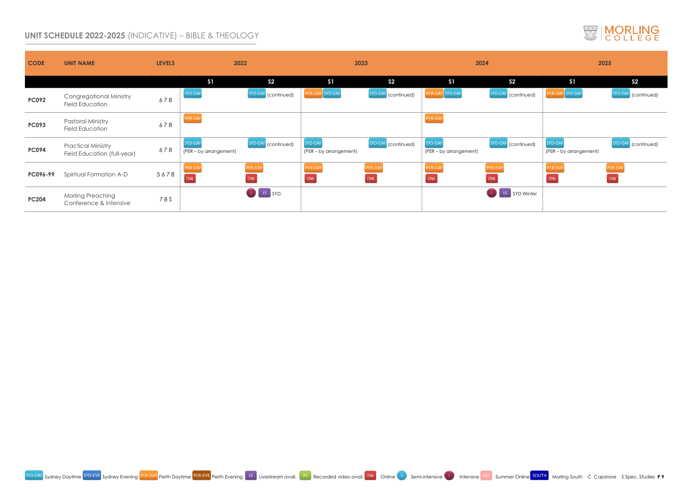### **UNIT SCHEDULE 2022-2025** (INDICATIVE) – BIBLE & THEOLOGY

| <b>CODE</b>  | <b>UNIT NAME</b>                                         | <b>LEVELS</b> | 2022                                     |                     | 2023                              |                                 | 2024                              |                        |                                   | 2025                            |
|--------------|----------------------------------------------------------|---------------|------------------------------------------|---------------------|-----------------------------------|---------------------------------|-----------------------------------|------------------------|-----------------------------------|---------------------------------|
|              |                                                          |               | S <sub>1</sub>                           | S <sub>2</sub>      | S <sub>1</sub>                    | S <sub>2</sub>                  | S <sub>1</sub>                    | S <sub>2</sub>         | S <sub>1</sub>                    | S <sub>2</sub>                  |
| <b>PC092</b> | <b>Congregational Ministry</b><br><b>Field Education</b> | 678           | SYD-DAY                                  | SYD-DAY (continued) | PER-DAY SYD-DAY                   | SYD-DAY<br>(continued)          | PER-DAY SYD-DAY                   | SYD-DAY<br>(continued) | PER-DAY SYD-DAY                   | SYD-DAY (continued)             |
| <b>PC093</b> | <b>Pastoral Ministry</b><br><b>Field Education</b>       | 678           | PER-DAY                                  |                     |                                   |                                 | PER-DAY                           |                        |                                   |                                 |
| <b>PC094</b> | <b>Practical Ministry</b><br>Field Education (full-year) | 678           | <b>SYD-DAY</b><br>(PER - by arrangement) | SYD-DAY (continued) | SYD-DAY<br>(PER - by arrangement) | SYD-DAY (continued)             | SYD-DAY<br>(PER – by arrangement) | SYD-DAY (continued)    | SYD-DAY<br>(PER – by arrangement) | SYD-DAY (continued)             |
| PC096-99     | Spiritual Formation A-D                                  | 5678          | PER-DAY<br>ONL                           | PER-DAY<br>ONL      | PER-DAY<br>ONL                    | PER-DAY<br>$\boxed{\text{ONL}}$ | PER-DAY<br>ONL                    | PER-DAY<br>ONL         | PER-DAY<br>ONL                    | PER-DAY<br>$\boxed{\text{ONL}}$ |
| <b>PC204</b> | <b>Morling Preaching</b><br>Conference & Intensive       | 78S           |                                          | U LS SYD            |                                   |                                 |                                   | <b>I</b> LS SYD Winter |                                   |                                 |





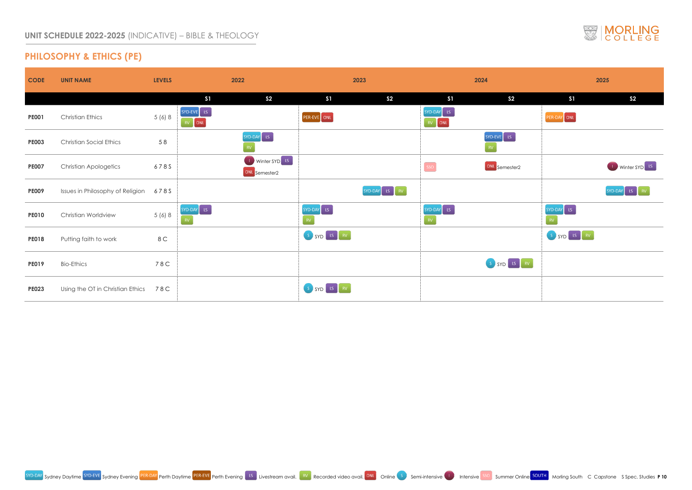# **PHILOSOPHY & ETHICS (PE)**

| <b>CODE</b>  | <b>UNIT NAME</b>                      | <b>LEVELS</b> | 2022                                                   |             | 2023           |                               | 2024           |             | 2025           |
|--------------|---------------------------------------|---------------|--------------------------------------------------------|-------------|----------------|-------------------------------|----------------|-------------|----------------|
|              |                                       |               | S1<br>S <sub>2</sub>                                   | S1          | S <sub>2</sub> | S1                            | S <sub>2</sub> | S1          | S <sub>2</sub> |
| <b>PE001</b> | <b>Christian Ethics</b>               | 5 (6) 8       | $SVD-EVE$ LS<br>$\begin{bmatrix} RV \end{bmatrix}$ ONL | PER-EVE ONL |                | SYD-DAY LS<br>RV ONL          |                | PER-DAY ONL |                |
| <b>PE003</b> | <b>Christian Social Ethics</b>        | 58            | SYD-DAY LS                                             |             |                |                               | $SYD-EVE$ LS   |             |                |
| <b>PE007</b> | <b>Christian Apologetics</b>          | 678S          | Winter SYD LS<br>ONL Semester2                         |             |                | $\left[ \text{ sso } \right]$ | ONL Semester2  |             | <b>Winter</b>  |
| <b>PE009</b> | Issues in Philosophy of Religion 678S |               |                                                        |             | SYD-DAY LS RV  |                               |                |             | SYD-DAY LS     |
| <b>PE010</b> | <b>Christian Worldview</b>            | 5(6)8         | $SYD-DAY$ LS                                           | SYD-DAY LS  |                | SYD-DAY LS<br>RV              |                | SYD-DAY LS  |                |
| <b>PE018</b> | Putting faith to work                 | 8 C           |                                                        | S SYD LS RV |                |                               |                | S SYD LS RV |                |
| <b>PE019</b> | <b>Bio-Ethics</b>                     | 78C           |                                                        |             |                |                               | S SYD [LS RV ] |             |                |
| <b>PE023</b> | Using the OT in Christian Ethics 78C  |               |                                                        | S SYD LS RV |                |                               |                |             |                |





|                                                |                                         | 2025                                     |
|------------------------------------------------|-----------------------------------------|------------------------------------------|
| S <sub>2</sub>                                 | S <sub>1</sub>                          | S <sub>2</sub>                           |
|                                                | PER-DAY ONL                             |                                          |
| VE<br>$\overline{\mathsf{LS}}$                 |                                         |                                          |
| Semester2                                      |                                         | Winter SYD <sup>LS</sup><br>$\mathbf{L}$ |
|                                                |                                         | SYD-DAY<br>LS<br>$\bar{\rm RV}$          |
|                                                | SYD-DAY<br>LS<br>$\overline{\text{RV}}$ |                                          |
|                                                | $LS$ RV<br>$S_{\alpha}$<br>SYD          |                                          |
| $\overline{\text{LS}}$<br>SYD<br>$\mathsf{RV}$ |                                         |                                          |
|                                                |                                         |                                          |

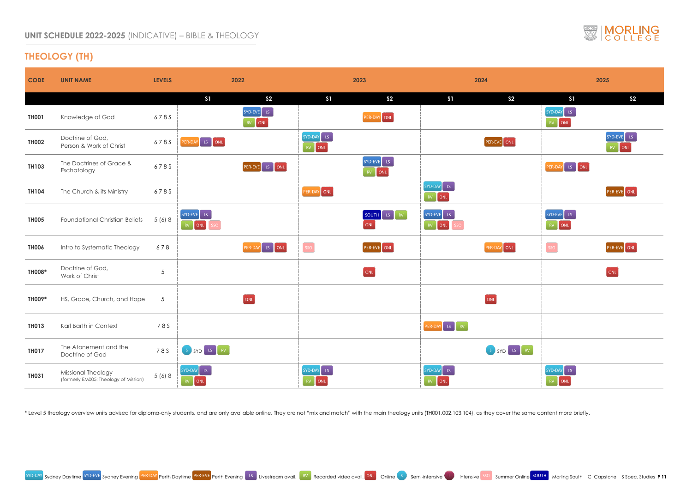### **UNIT SCHEDULE 2022-2025** (INDICATIVE) – BIBLE & THEOLOGY

# **THEOLOGY (TH)**

| <b>CODE</b>   | <b>UNIT NAME</b>                                            | <b>LEVELS</b>   | 2022                                 |                         |                     | 2023                     |                                                      | 2024           |                                            | 2025                    |
|---------------|-------------------------------------------------------------|-----------------|--------------------------------------|-------------------------|---------------------|--------------------------|------------------------------------------------------|----------------|--------------------------------------------|-------------------------|
|               |                                                             |                 | S1                                   | S <sub>2</sub>          | S <sub>1</sub>      | S <sub>2</sub>           | S <sub>1</sub>                                       | S <sub>2</sub> | S1                                         | S <sub>2</sub>          |
| <b>TH001</b>  | Knowledge of God                                            | 678S            |                                      | SYD-EVE LS<br>RV<br>ONL |                     | PER-DAY ONL              |                                                      |                | $SYD-DAY$ LS<br>RV ONL                     |                         |
| <b>TH002</b>  | Doctrine of God,<br>Person & Work of Christ                 | 678S            | PER-DAY LS ONL                       |                         | $SYD-DAY$ LS<br>ONL |                          |                                                      | PER-EVE ONL    |                                            | SYD-EVE ES<br>ONL       |
| <b>TH103</b>  | The Doctrines of Grace &<br>Eschatology                     | 678S            |                                      | PER-EVE ES ONL          |                     | $SYD-EVE$ $LS$<br>RV ONL |                                                      |                | PER-DAY LS ONL                             |                         |
| <b>TH104</b>  | The Church & its Ministry                                   | 678S            |                                      |                         | PER-DAY ONL         |                          | SYD-DAY LS<br>$\begin{bmatrix} RV \end{bmatrix}$ ONL |                |                                            | PER-EVE ONL             |
| <b>TH005</b>  | <b>Foundational Christian Beliefs</b>                       | 5(6)8           | $SVD-EVE$ LS<br>RV ONL<br><b>SSO</b> |                         |                     | SOUTH ES RV<br>ONL       | SYD-EVE ES<br>RV ONL<br><b>SSO</b>                   |                | $SYD-EVE$ LS<br>RV ONL                     |                         |
| <b>TH006</b>  | Intro to Systematic Theology                                | 678             |                                      | PER-DAY LS ONL          | SSO                 | PER-EVE ONL              |                                                      | PER-DAY ONL    | $\begin{bmatrix} \text{SSO} \end{bmatrix}$ | PER-EVE ONL             |
| <b>TH008*</b> | Doctrine of God,<br>Work of Christ                          | $\overline{5}$  |                                      |                         |                     | ONL                      |                                                      |                |                                            | $\overline{\text{ONL}}$ |
| TH009*        | HS, Grace, Church, and Hope                                 | $5\overline{)}$ |                                      | [ONL]                   |                     |                          |                                                      | ONL            |                                            |                         |
| <b>TH013</b>  | Karl Barth in Context                                       | 78S             |                                      |                         |                     |                          | PER-DAY LS RV                                        |                |                                            |                         |
| <b>TH017</b>  | The Atonement and the<br>Doctrine of God                    | 78S             | S SYD [LS RV]                        |                         |                     |                          |                                                      | S SYD LS RV    |                                            |                         |
| <b>TH031</b>  | Missional Theology<br>(formerly EM005: Theology of Mission) | 5(6)8           | $SYD-DAY$ LS<br>$RV$ ONL             |                         | $SYD-DAY$ LS<br>ONL |                          | SYD-DAY LS<br>RV ONL                                 |                | SYD-DAY LS<br>RV ONL                       |                         |

\* Level 5 theology overview units advised for diploma-only students, and are only available online. They are not "mix and match" with the main theology units (TH001,002,103,104), as they cover the same content more briefly.



|    |                                        | 2025                                 |
|----|----------------------------------------|--------------------------------------|
|    | S <sub>1</sub>                         | S <sub>2</sub>                       |
|    | $SYD-DAY$ LS<br>ONL<br>RV <sup>2</sup> |                                      |
|    |                                        | SYD-EVE ES<br>ONL<br>RV <sub>1</sub> |
|    | PER-DAY LS ONL                         |                                      |
|    |                                        | PER-EVE ONL                          |
|    | SYD-EVE LS<br>RV ONL                   |                                      |
|    | <b>SSO</b>                             | PER-EVE ONL                          |
|    |                                        | $_{\rm ONL}$                         |
|    |                                        |                                      |
|    |                                        |                                      |
| RV |                                        |                                      |
|    | SYD-DAY LS<br>ONL<br>RV                |                                      |